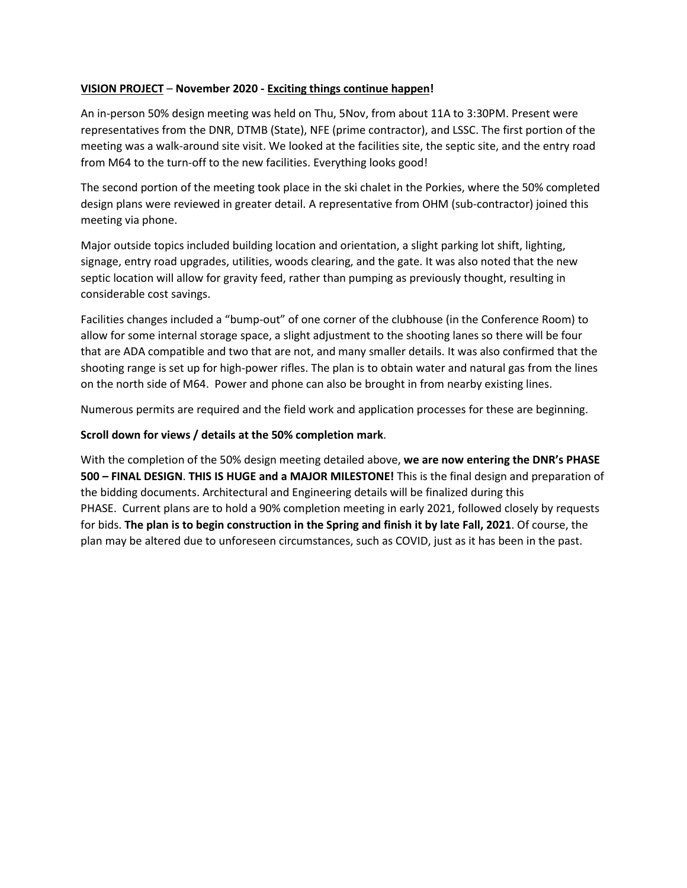## **VISION PROJECT** – **November 2020 - Exciting things continue happen!**

An in-person 50% design meeting was held on Thu, 5Nov, from about 11A to 3:30PM. Present were representatives from the DNR, DTMB (State), NFE (prime contractor), and LSSC. The first portion of the meeting was a walk-around site visit. We looked at the facilities site, the septic site, and the entry road from M64 to the turn-off to the new facilities. Everything looks good!

The second portion of the meeting took place in the ski chalet in the Porkies, where the 50% completed design plans were reviewed in greater detail. A representative from OHM (sub-contractor) joined this meeting via phone.

Major outside topics included building location and orientation, a slight parking lot shift, lighting, signage, entry road upgrades, utilities, woods clearing, and the gate. It was also noted that the new septic location will allow for gravity feed, rather than pumping as previously thought, resulting in considerable cost savings.

Facilities changes included a "bump-out" of one corner of the clubhouse (in the Conference Room) to allow for some internal storage space, a slight adjustment to the shooting lanes so there will be four that are ADA compatible and two that are not, and many smaller details. It was also confirmed that the shooting range is set up for high-power rifles. The plan is to obtain water and natural gas from the lines on the north side of M64. Power and phone can also be brought in from nearby existing lines.

Numerous permits are required and the field work and application processes for these are beginning.

## **Scroll down for views / details at the 50% completion mark**.

With the completion of the 50% design meeting detailed above, **we are now entering the DNR's PHASE 500 – FINAL DESIGN**. **THIS IS HUGE and a MAJOR MILESTONE!** This is the final design and preparation of the bidding documents. Architectural and Engineering details will be finalized during this PHASE. Current plans are to hold a 90% completion meeting in early 2021, followed closely by requests for bids. **The plan is to begin construction in the Spring and finish it by late Fall, 2021**. Of course, the plan may be altered due to unforeseen circumstances, such as COVID, just as it has been in the past.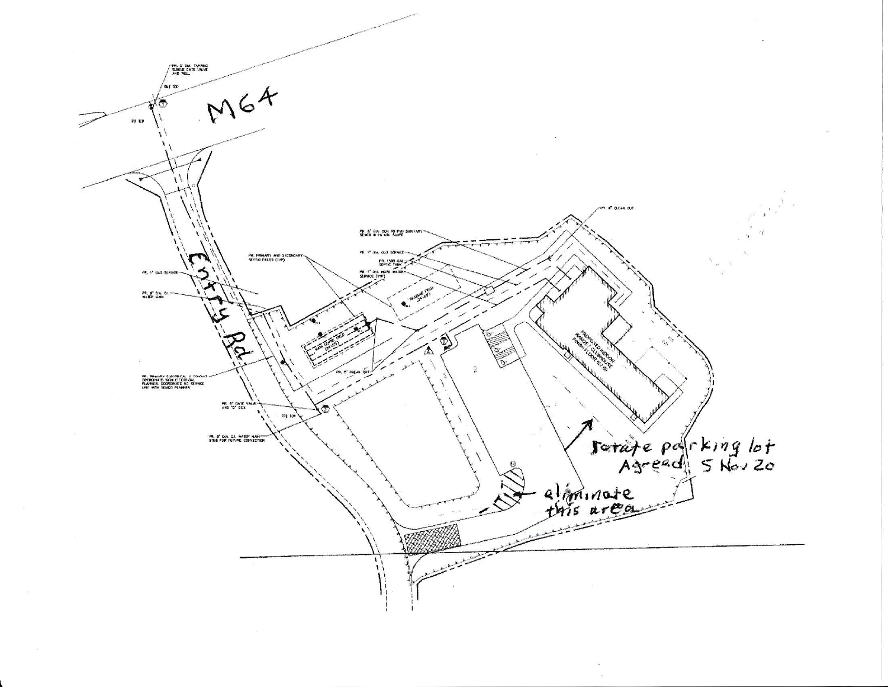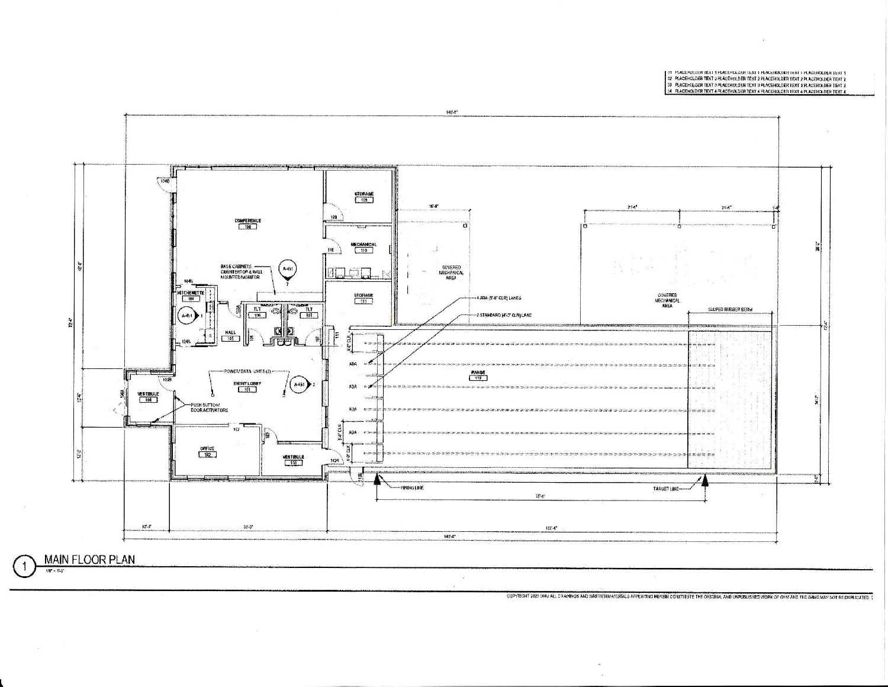91 MACEMELERK DATT HACEMALERK DATT PLACEDIUDER TEXT I PLACEDIUDER (ST.1)<br>22 MACEMELERK TEXT 2 PLACEROLDER TEXT 2 PLACEROLDER TEXT 2 PLACEROLDER TEXT 2<br>39 MACEMELERK TEXT 4 PLACEROLDER TEXT 4 PLACEROLDER TEXT 4 N. PLACEDIUD